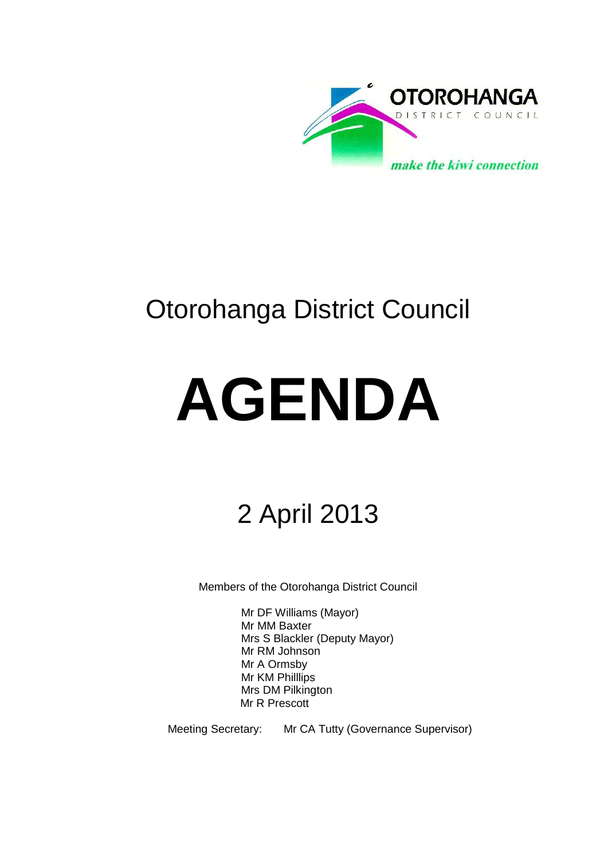

# Otorohanga District Council

# **AGENDA**

# 2 April 2013

Members of the Otorohanga District Council

Mr DF Williams (Mayor) Mr MM Baxter Mrs S Blackler (Deputy Mayor) Mr RM Johnson Mr A Ormsby Mr KM Philllips Mrs DM Pilkington Mr R Prescott

Meeting Secretary: Mr CA Tutty (Governance Supervisor)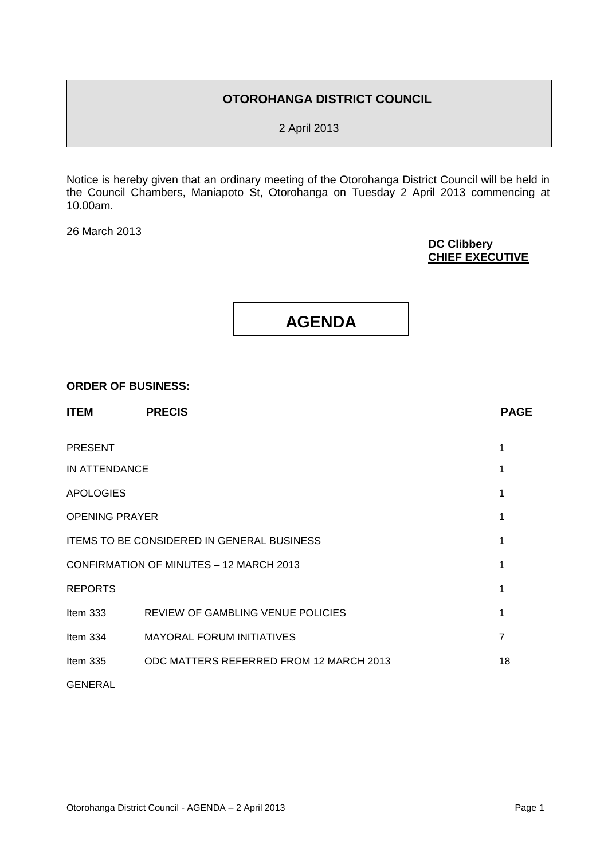#### **OTOROHANGA DISTRICT COUNCIL**

2 April 2013

Notice is hereby given that an ordinary meeting of the Otorohanga District Council will be held in the Council Chambers, Maniapoto St, Otorohanga on Tuesday 2 April 2013 commencing at 10.00am.

26 March 2013

#### **DC Clibbery CHIEF EXECUTIVE**



#### **ORDER OF BUSINESS:**

| <b>ITEM</b>                                    | <b>PRECIS</b>                            | <b>PAGE</b> |
|------------------------------------------------|------------------------------------------|-------------|
| <b>PRESENT</b>                                 |                                          |             |
| IN ATTENDANCE                                  |                                          |             |
| <b>APOLOGIES</b>                               |                                          |             |
| <b>OPENING PRAYER</b>                          |                                          |             |
| ITEMS TO BE CONSIDERED IN GENERAL BUSINESS     |                                          |             |
| <b>CONFIRMATION OF MINUTES - 12 MARCH 2013</b> |                                          |             |
| <b>REPORTS</b>                                 |                                          |             |
| Item $333$                                     | <b>REVIEW OF GAMBLING VENUE POLICIES</b> | 1           |
| Item $334$                                     | <b>MAYORAL FORUM INITIATIVES</b>         | 7           |
| Item $335$                                     | ODC MATTERS REFERRED FROM 12 MARCH 2013  | 18          |
| <b>GENERAL</b>                                 |                                          |             |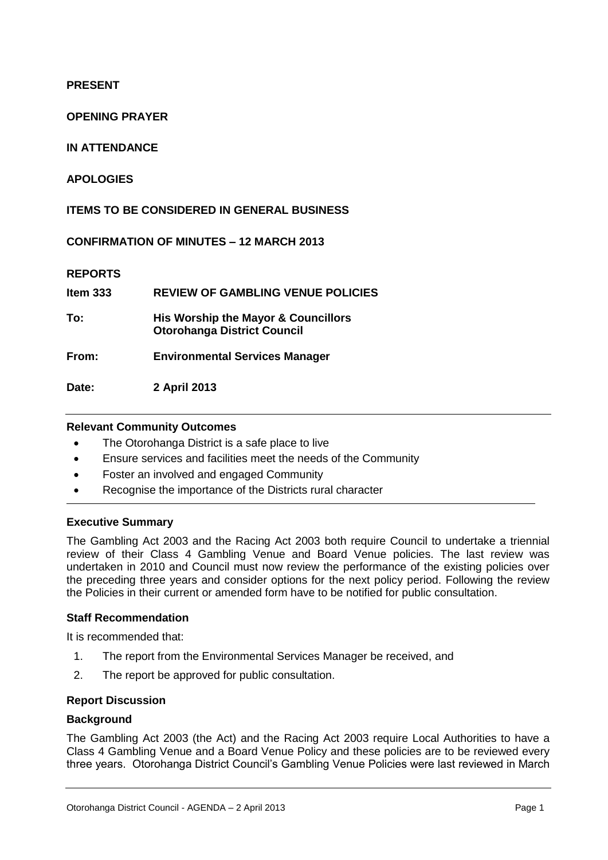#### **PRESENT**

#### **OPENING PRAYER**

#### **IN ATTENDANCE**

#### **APOLOGIES**

#### **ITEMS TO BE CONSIDERED IN GENERAL BUSINESS**

**CONFIRMATION OF MINUTES – 12 MARCH 2013**

#### **REPORTS**

| Item $333$ | <b>REVIEW OF GAMBLING VENUE POLICIES</b>                                  |
|------------|---------------------------------------------------------------------------|
| To:        | His Worship the Mayor & Councillors<br><b>Otorohanga District Council</b> |
| From:      | <b>Environmental Services Manager</b>                                     |
| Date:      | 2 April 2013                                                              |

#### **Relevant Community Outcomes**

- The Otorohanga District is a safe place to live
- Ensure services and facilities meet the needs of the Community
- Foster an involved and engaged Community
- Recognise the importance of the Districts rural character

#### **Executive Summary**

The Gambling Act 2003 and the Racing Act 2003 both require Council to undertake a triennial review of their Class 4 Gambling Venue and Board Venue policies. The last review was undertaken in 2010 and Council must now review the performance of the existing policies over the preceding three years and consider options for the next policy period. Following the review the Policies in their current or amended form have to be notified for public consultation.

#### **Staff Recommendation**

It is recommended that:

- 1. The report from the Environmental Services Manager be received, and
- 2. The report be approved for public consultation.

#### **Report Discussion**

#### **Background**

The Gambling Act 2003 (the Act) and the Racing Act 2003 require Local Authorities to have a Class 4 Gambling Venue and a Board Venue Policy and these policies are to be reviewed every three years. Otorohanga District Council's Gambling Venue Policies were last reviewed in March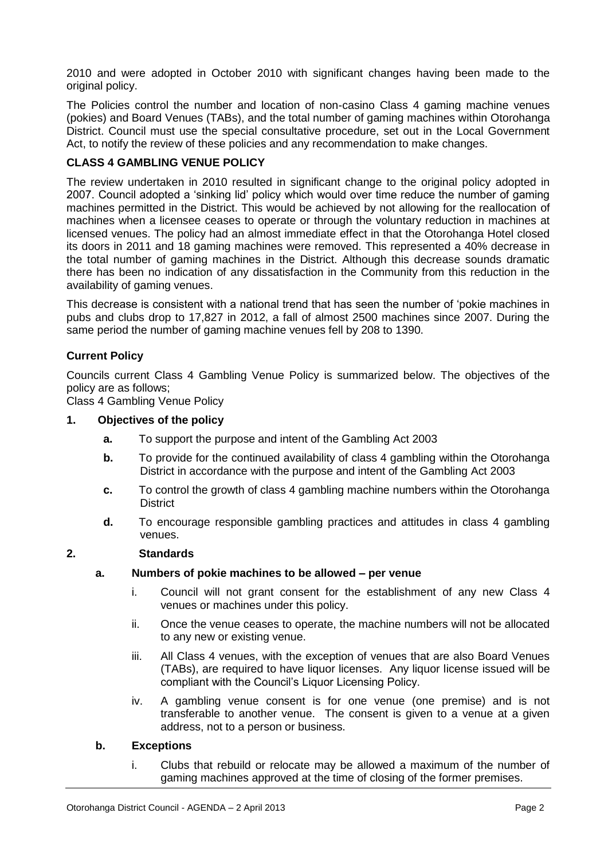2010 and were adopted in October 2010 with significant changes having been made to the original policy.

The Policies control the number and location of non-casino Class 4 gaming machine venues (pokies) and Board Venues (TABs), and the total number of gaming machines within Otorohanga District. Council must use the special consultative procedure, set out in the Local Government Act, to notify the review of these policies and any recommendation to make changes.

#### **CLASS 4 GAMBLING VENUE POLICY**

The review undertaken in 2010 resulted in significant change to the original policy adopted in 2007. Council adopted a 'sinking lid' policy which would over time reduce the number of gaming machines permitted in the District. This would be achieved by not allowing for the reallocation of machines when a licensee ceases to operate or through the voluntary reduction in machines at licensed venues. The policy had an almost immediate effect in that the Otorohanga Hotel closed its doors in 2011 and 18 gaming machines were removed. This represented a 40% decrease in the total number of gaming machines in the District. Although this decrease sounds dramatic there has been no indication of any dissatisfaction in the Community from this reduction in the availability of gaming venues.

This decrease is consistent with a national trend that has seen the number of 'pokie machines in pubs and clubs drop to 17,827 in 2012, a fall of almost 2500 machines since 2007. During the same period the number of gaming machine venues fell by 208 to 1390.

#### **Current Policy**

Councils current Class 4 Gambling Venue Policy is summarized below. The objectives of the policy are as follows;

Class 4 Gambling Venue Policy

#### **1. Objectives of the policy**

- **a.** To support the purpose and intent of the Gambling Act 2003
- **b.** To provide for the continued availability of class 4 gambling within the Otorohanga District in accordance with the purpose and intent of the Gambling Act 2003
- **c.** To control the growth of class 4 gambling machine numbers within the Otorohanga **District**
- **d.** To encourage responsible gambling practices and attitudes in class 4 gambling venues.

#### **2. Standards**

#### **a. Numbers of pokie machines to be allowed – per venue**

- i. Council will not grant consent for the establishment of any new Class 4 venues or machines under this policy.
- ii. Once the venue ceases to operate, the machine numbers will not be allocated to any new or existing venue.
- iii. All Class 4 venues, with the exception of venues that are also Board Venues (TABs), are required to have liquor licenses. Any liquor license issued will be compliant with the Council's Liquor Licensing Policy.
- iv. A gambling venue consent is for one venue (one premise) and is not transferable to another venue. The consent is given to a venue at a given address, not to a person or business.

#### **b. Exceptions**

i. Clubs that rebuild or relocate may be allowed a maximum of the number of gaming machines approved at the time of closing of the former premises.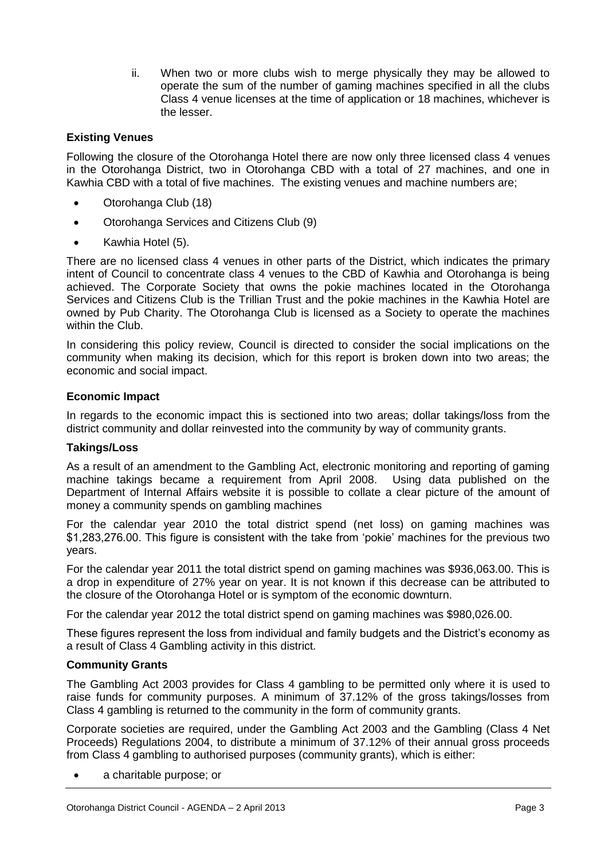ii. When two or more clubs wish to merge physically they may be allowed to operate the sum of the number of gaming machines specified in all the clubs Class 4 venue licenses at the time of application or 18 machines, whichever is the lesser.

#### **Existing Venues**

Following the closure of the Otorohanga Hotel there are now only three licensed class 4 venues in the Otorohanga District, two in Otorohanga CBD with a total of 27 machines, and one in Kawhia CBD with a total of five machines. The existing venues and machine numbers are;

- Otorohanga Club (18)
- Otorohanga Services and Citizens Club (9)
- Kawhia Hotel (5).

There are no licensed class 4 venues in other parts of the District, which indicates the primary intent of Council to concentrate class 4 venues to the CBD of Kawhia and Otorohanga is being achieved. The Corporate Society that owns the pokie machines located in the Otorohanga Services and Citizens Club is the Trillian Trust and the pokie machines in the Kawhia Hotel are owned by Pub Charity. The Otorohanga Club is licensed as a Society to operate the machines within the Club.

In considering this policy review, Council is directed to consider the social implications on the community when making its decision, which for this report is broken down into two areas; the economic and social impact.

#### **Economic Impact**

In regards to the economic impact this is sectioned into two areas; dollar takings/loss from the district community and dollar reinvested into the community by way of community grants.

#### **Takings/Loss**

As a result of an amendment to the Gambling Act, electronic monitoring and reporting of gaming machine takings became a requirement from April 2008. Using data published on the Department of Internal Affairs website it is possible to collate a clear picture of the amount of money a community spends on gambling machines

For the calendar year 2010 the total district spend (net loss) on gaming machines was \$1,283,276.00. This figure is consistent with the take from 'pokie' machines for the previous two years.

For the calendar year 2011 the total district spend on gaming machines was \$936,063.00. This is a drop in expenditure of 27% year on year. It is not known if this decrease can be attributed to the closure of the Otorohanga Hotel or is symptom of the economic downturn.

For the calendar year 2012 the total district spend on gaming machines was \$980,026.00.

These figures represent the loss from individual and family budgets and the District's economy as a result of Class 4 Gambling activity in this district.

#### **Community Grants**

The Gambling Act 2003 provides for Class 4 gambling to be permitted only where it is used to raise funds for community purposes. A minimum of 37.12% of the gross takings/losses from Class 4 gambling is returned to the community in the form of community grants.

Corporate societies are required, under the Gambling Act 2003 and the Gambling (Class 4 Net Proceeds) Regulations 2004, to distribute a minimum of 37.12% of their annual gross proceeds from Class 4 gambling to authorised purposes (community grants), which is either:

a charitable purpose; or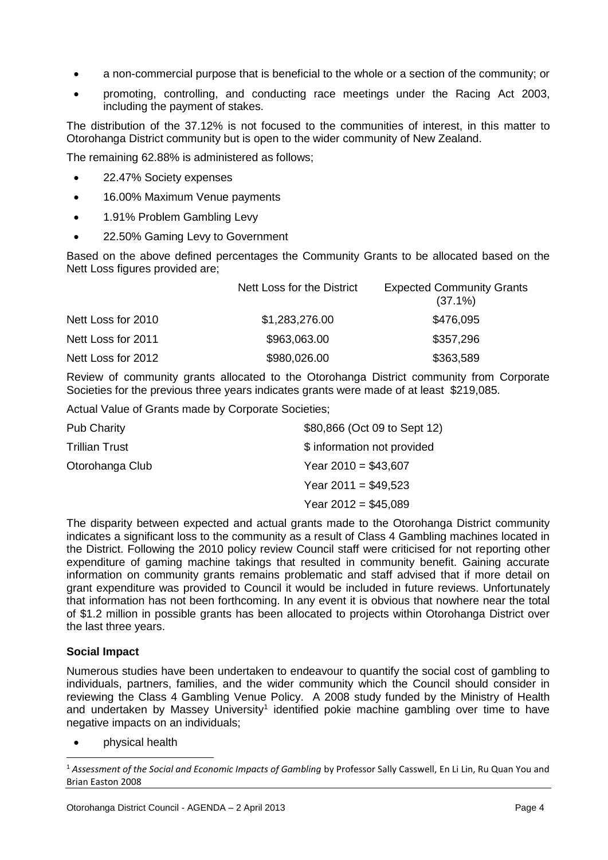- a non-commercial purpose that is beneficial to the whole or a section of the community; or
- promoting, controlling, and conducting race meetings under the Racing Act 2003, including the payment of stakes.

The distribution of the 37.12% is not focused to the communities of interest, in this matter to Otorohanga District community but is open to the wider community of New Zealand.

The remaining 62.88% is administered as follows;

- 22.47% Society expenses
- 16.00% Maximum Venue payments
- 1.91% Problem Gambling Levy
- 22.50% Gaming Levy to Government

Based on the above defined percentages the Community Grants to be allocated based on the Nett Loss figures provided are;

|                    | Nett Loss for the District | <b>Expected Community Grants</b><br>$(37.1\%)$ |
|--------------------|----------------------------|------------------------------------------------|
| Nett Loss for 2010 | \$1,283,276.00             | \$476,095                                      |
| Nett Loss for 2011 | \$963,063.00               | \$357,296                                      |
| Nett Loss for 2012 | \$980,026.00               | \$363,589                                      |

Review of community grants allocated to the Otorohanga District community from Corporate Societies for the previous three years indicates grants were made of at least \$219,085.

Actual Value of Grants made by Corporate Societies;

| <b>Pub Charity</b> | \$80,866 (Oct 09 to Sept 12) |
|--------------------|------------------------------|
| Trillian Trust     | \$ information not provided  |
| Otorohanga Club    | Year $2010 = $43,607$        |
|                    | Year $2011 = $49.523$        |
|                    | Year $2012 = $45,089$        |
|                    |                              |

The disparity between expected and actual grants made to the Otorohanga District community indicates a significant loss to the community as a result of Class 4 Gambling machines located in the District. Following the 2010 policy review Council staff were criticised for not reporting other expenditure of gaming machine takings that resulted in community benefit. Gaining accurate information on community grants remains problematic and staff advised that if more detail on grant expenditure was provided to Council it would be included in future reviews. Unfortunately that information has not been forthcoming. In any event it is obvious that nowhere near the total of \$1.2 million in possible grants has been allocated to projects within Otorohanga District over the last three years.

#### **Social Impact**

 $\overline{a}$ 

Numerous studies have been undertaken to endeavour to quantify the social cost of gambling to individuals, partners, families, and the wider community which the Council should consider in reviewing the Class 4 Gambling Venue Policy. A 2008 study funded by the Ministry of Health and undertaken by Massey University<sup>1</sup> identified pokie machine gambling over time to have negative impacts on an individuals;

physical health

<sup>1</sup> *Assessment of the Social and Economic Impacts of Gambling* by Professor Sally Casswell, En Li Lin, Ru Quan You and Brian Easton 2008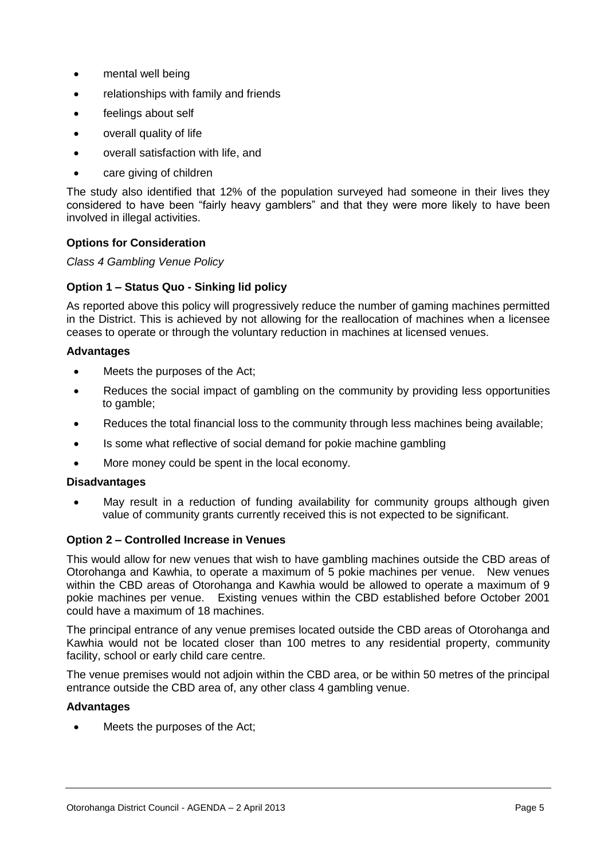- mental well being
- relationships with family and friends
- feelings about self
- overall quality of life
- overall satisfaction with life, and
- care giving of children

The study also identified that 12% of the population surveyed had someone in their lives they considered to have been "fairly heavy gamblers" and that they were more likely to have been involved in illegal activities.

#### **Options for Consideration**

*Class 4 Gambling Venue Policy*

#### **Option 1 – Status Quo - Sinking lid policy**

As reported above this policy will progressively reduce the number of gaming machines permitted in the District. This is achieved by not allowing for the reallocation of machines when a licensee ceases to operate or through the voluntary reduction in machines at licensed venues.

#### **Advantages**

- Meets the purposes of the Act;
- Reduces the social impact of gambling on the community by providing less opportunities to gamble:
- Reduces the total financial loss to the community through less machines being available;
- Is some what reflective of social demand for pokie machine gambling
- More money could be spent in the local economy.

#### **Disadvantages**

 May result in a reduction of funding availability for community groups although given value of community grants currently received this is not expected to be significant.

#### **Option 2 – Controlled Increase in Venues**

This would allow for new venues that wish to have gambling machines outside the CBD areas of Otorohanga and Kawhia, to operate a maximum of 5 pokie machines per venue. New venues within the CBD areas of Otorohanga and Kawhia would be allowed to operate a maximum of 9 pokie machines per venue. Existing venues within the CBD established before October 2001 could have a maximum of 18 machines.

The principal entrance of any venue premises located outside the CBD areas of Otorohanga and Kawhia would not be located closer than 100 metres to any residential property, community facility, school or early child care centre.

The venue premises would not adjoin within the CBD area, or be within 50 metres of the principal entrance outside the CBD area of, any other class 4 gambling venue.

#### **Advantages**

Meets the purposes of the Act;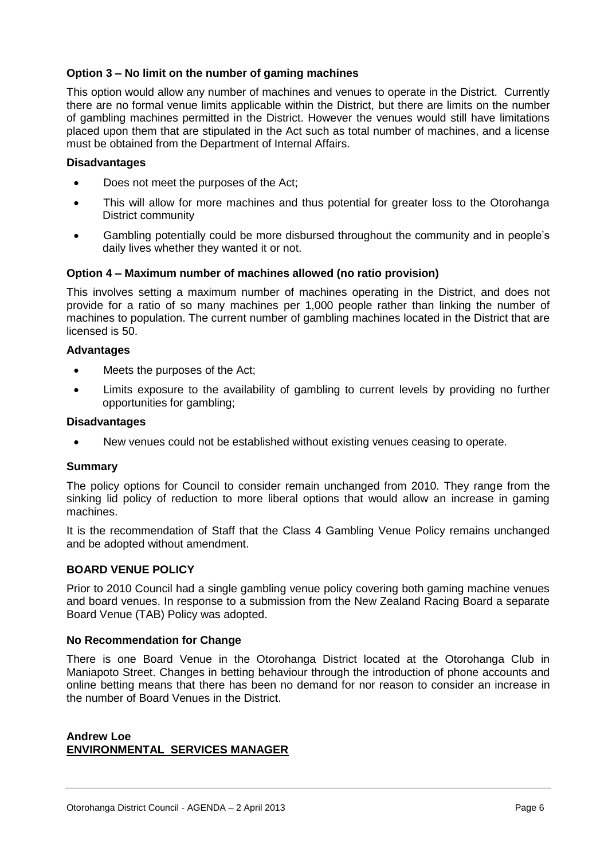#### **Option 3 – No limit on the number of gaming machines**

This option would allow any number of machines and venues to operate in the District. Currently there are no formal venue limits applicable within the District, but there are limits on the number of gambling machines permitted in the District. However the venues would still have limitations placed upon them that are stipulated in the Act such as total number of machines, and a license must be obtained from the Department of Internal Affairs.

#### **Disadvantages**

- Does not meet the purposes of the Act;
- This will allow for more machines and thus potential for greater loss to the Otorohanga District community
- Gambling potentially could be more disbursed throughout the community and in people's daily lives whether they wanted it or not.

#### **Option 4 – Maximum number of machines allowed (no ratio provision)**

This involves setting a maximum number of machines operating in the District, and does not provide for a ratio of so many machines per 1,000 people rather than linking the number of machines to population. The current number of gambling machines located in the District that are licensed is 50.

#### **Advantages**

- Meets the purposes of the Act:
- Limits exposure to the availability of gambling to current levels by providing no further opportunities for gambling;

#### **Disadvantages**

New venues could not be established without existing venues ceasing to operate.

#### **Summary**

The policy options for Council to consider remain unchanged from 2010. They range from the sinking lid policy of reduction to more liberal options that would allow an increase in gaming machines.

It is the recommendation of Staff that the Class 4 Gambling Venue Policy remains unchanged and be adopted without amendment.

#### **BOARD VENUE POLICY**

Prior to 2010 Council had a single gambling venue policy covering both gaming machine venues and board venues. In response to a submission from the New Zealand Racing Board a separate Board Venue (TAB) Policy was adopted.

#### **No Recommendation for Change**

There is one Board Venue in the Otorohanga District located at the Otorohanga Club in Maniapoto Street. Changes in betting behaviour through the introduction of phone accounts and online betting means that there has been no demand for nor reason to consider an increase in the number of Board Venues in the District.

#### **Andrew Loe ENVIRONMENTAL SERVICES MANAGER**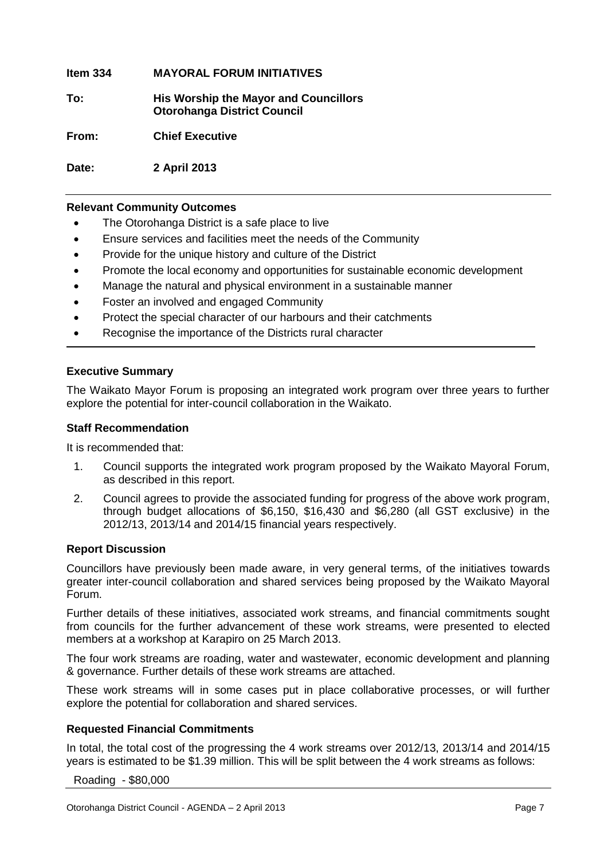**Item 334 MAYORAL FORUM INITIATIVES**

**To: His Worship the Mayor and Councillors Otorohanga District Council**

**From: Chief Executive**

**Date: 2 April 2013**

#### **Relevant Community Outcomes**

- The Otorohanga District is a safe place to live
- Ensure services and facilities meet the needs of the Community
- Provide for the unique history and culture of the District
- Promote the local economy and opportunities for sustainable economic development
- Manage the natural and physical environment in a sustainable manner
- Foster an involved and engaged Community
- Protect the special character of our harbours and their catchments
- Recognise the importance of the Districts rural character

#### **Executive Summary**

The Waikato Mayor Forum is proposing an integrated work program over three years to further explore the potential for inter-council collaboration in the Waikato.

#### **Staff Recommendation**

It is recommended that:

- 1. Council supports the integrated work program proposed by the Waikato Mayoral Forum, as described in this report.
- 2. Council agrees to provide the associated funding for progress of the above work program, through budget allocations of \$6,150, \$16,430 and \$6,280 (all GST exclusive) in the 2012/13, 2013/14 and 2014/15 financial years respectively.

#### **Report Discussion**

Councillors have previously been made aware, in very general terms, of the initiatives towards greater inter-council collaboration and shared services being proposed by the Waikato Mayoral Forum.

Further details of these initiatives, associated work streams, and financial commitments sought from councils for the further advancement of these work streams, were presented to elected members at a workshop at Karapiro on 25 March 2013.

The four work streams are roading, water and wastewater, economic development and planning & governance. Further details of these work streams are attached.

These work streams will in some cases put in place collaborative processes, or will further explore the potential for collaboration and shared services.

#### **Requested Financial Commitments**

In total, the total cost of the progressing the 4 work streams over 2012/13, 2013/14 and 2014/15 years is estimated to be \$1.39 million. This will be split between the 4 work streams as follows:

Roading - \$80,000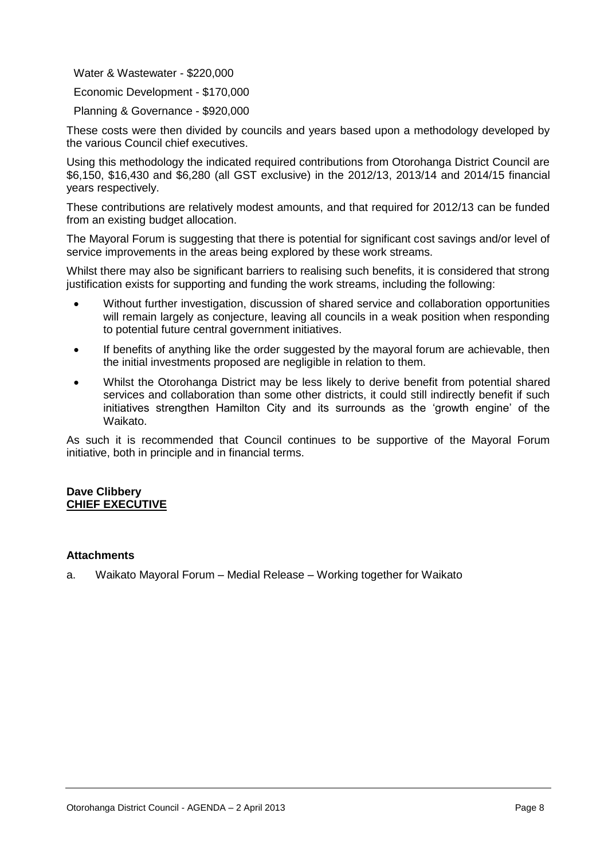Water & Wastewater - \$220,000

Economic Development - \$170,000

Planning & Governance - \$920,000

These costs were then divided by councils and years based upon a methodology developed by the various Council chief executives.

Using this methodology the indicated required contributions from Otorohanga District Council are \$6,150, \$16,430 and \$6,280 (all GST exclusive) in the 2012/13, 2013/14 and 2014/15 financial years respectively.

These contributions are relatively modest amounts, and that required for 2012/13 can be funded from an existing budget allocation.

The Mayoral Forum is suggesting that there is potential for significant cost savings and/or level of service improvements in the areas being explored by these work streams.

Whilst there may also be significant barriers to realising such benefits, it is considered that strong justification exists for supporting and funding the work streams, including the following:

- Without further investigation, discussion of shared service and collaboration opportunities will remain largely as conjecture, leaving all councils in a weak position when responding to potential future central government initiatives.
- If benefits of anything like the order suggested by the mayoral forum are achievable, then the initial investments proposed are negligible in relation to them.
- Whilst the Otorohanga District may be less likely to derive benefit from potential shared services and collaboration than some other districts, it could still indirectly benefit if such initiatives strengthen Hamilton City and its surrounds as the 'growth engine' of the Waikato.

As such it is recommended that Council continues to be supportive of the Mayoral Forum initiative, both in principle and in financial terms.

#### **Dave Clibbery CHIEF EXECUTIVE**

#### **Attachments**

a. Waikato Mayoral Forum – Medial Release – Working together for Waikato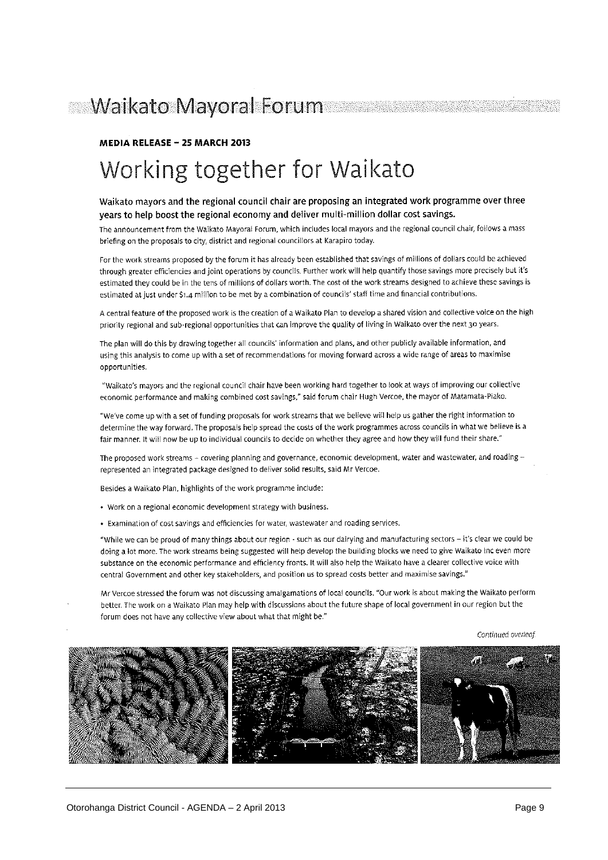# MEDIA RELEASE - 25 MARCH 2013 Working together for Waikato

#### Waikato mayors and the regional council chair are proposing an integrated work programme over three years to help boost the regional economy and deliver multi-million dollar cost savings.

The announcement from the Waikato Mayoral Forum, which includes local mayors and the regional council chair, follows a mass briefing on the proposals to city, district and regional councillors at Karapiro today.

For the work streams proposed by the forum it has already been established that savings of millions of dollars could be achieved through greater efficiencies and joint operations by councils. Further work will help quantify those savings more precisely but it's estimated they could be in the tens of millions of dollars worth. The cost of the work streams designed to achieve these savings is estimated at just under \$1.4 million to be met by a combination of councils' staff time and financial contributions.

A central feature of the proposed work is the creation of a Waikato Plan to develop a shared vision and collective voice on the high priority regional and sub-regional opportunities that can improve the quality of living in Waikato over the next 30 years.

The plan will do this by drawing together all councils' information and plans, and other publicly available information, and using this analysis to come up with a set of recommendations for moving forward across a wide range of areas to maximise opportunities.

"Waikato's mayors and the regional council chair have been working hard together to look at ways of improving our collective economic performance and making combined cost savings," said forum chair Hugh Vercoe, the mayor of Matamata-Piako.

"We've come up with a set of funding proposals for work streams that we believe will help us gather the right information to determine the way forward. The proposals help spread the costs of the work programmes across councils in what we believe is a fair manner, it will now be up to individual councils to decide on whether they agree and how they will fund their share."

The proposed work streams - covering planning and governance, economic development, water and wastewater, and roading represented an integrated package designed to deliver solid results, said Mr Vercoe.

Besides a Waikato Plan, highlights of the work programme include:

- Work on a regional economic development strategy with business.
- Examination of cost savings and efficiencies for water, wastewater and roading services.

"While we can be proud of many things about our region - such as our dairying and manufacturing sectors - it's clear we could be doing a lot more. The work streams being suggested will help develop the building blocks we need to give Waikato Inc even more substance on the economic performance and efficiency fronts. It will also help the Waikato have a clearer collective voice with central Government and other key stakeholders, and position us to spread costs better and maximise savings."

Mr Vercoe stressed the forum was not discussing amalgamations of local councils. "Our work is about making the Waikato perform better. The work on a Waikato Plan may help with discussions about the future shape of local government in our region but the forum does not have any collective view about what that might be."

Continued overleaf.

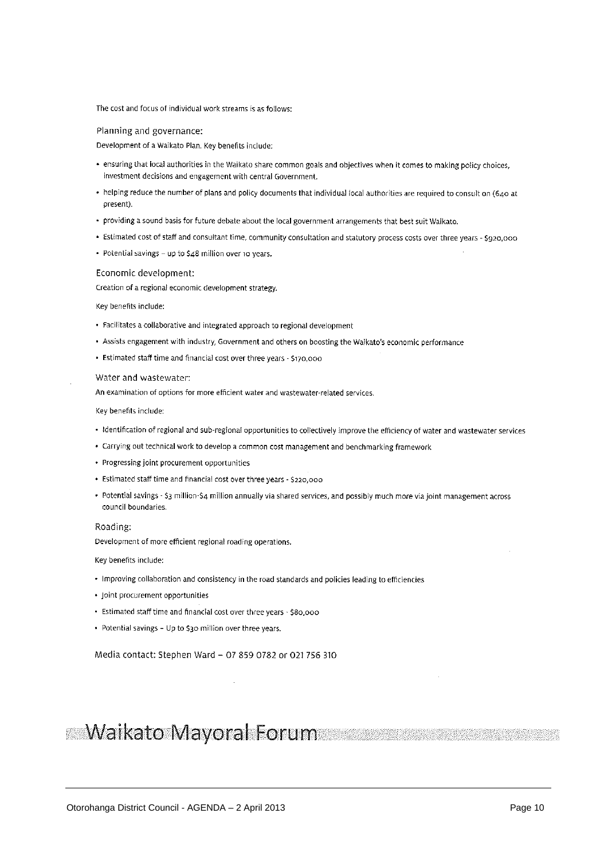The cost and focus of individual work streams is as follows:

#### Planning and governance:

Development of a Waikato Plan. Key benefits include:

- · ensuring that local authorities in the Waikato share common goals and objectives when it comes to making policy choices, investment decisions and engagement with central Government.
- . helping reduce the number of plans and policy documents that individual local authorities are required to consult on (640 at present).
- providing a sound basis for future debate about the local government arrangements that best suit Waikato.
- · Estimated cost of staff and consultant time, community consultation and statutory process costs over three years \$920,000
- Potential savings up to  $$48$  million over 10 years.

#### Economic development:

Creation of a regional economic development strategy.

#### Key benefits include:

- · Facilitates a collaborative and integrated approach to regional development
- Assists engagement with industry, Government and others on boosting the Waikato's economic performance
- Estimated staff time and financial cost over three years \$170,000

#### Water and wastewater:

An examination of options for more efficient water and wastewater-related services.

Key benefits include:

- · Identification of regional and sub-regional opportunities to collectively improve the efficiency of water and wastewater services
- Carrying out technical work to develop a common cost management and benchmarking framework
- Progressing joint procurement opportunities
- Estimated staff time and financial cost over three years \$220,000
- Potential savings \$3 million-\$4 million annually via shared services, and possibly much more via joint management across council boundaries.

#### Roading:

Development of more efficient regional roading operations.

Key benefits include:

- Improving collaboration and consistency in the road standards and policies leading to efficiencies
- Joint procurement opportunities
- · Estimated staff time and financial cost over three years \$80,000
- Potential savings Up to \$30 million over three years.

#### Media contact: Stephen Ward - 07 859 0782 or 021 756 310

### **Maikato Mayoral Forum**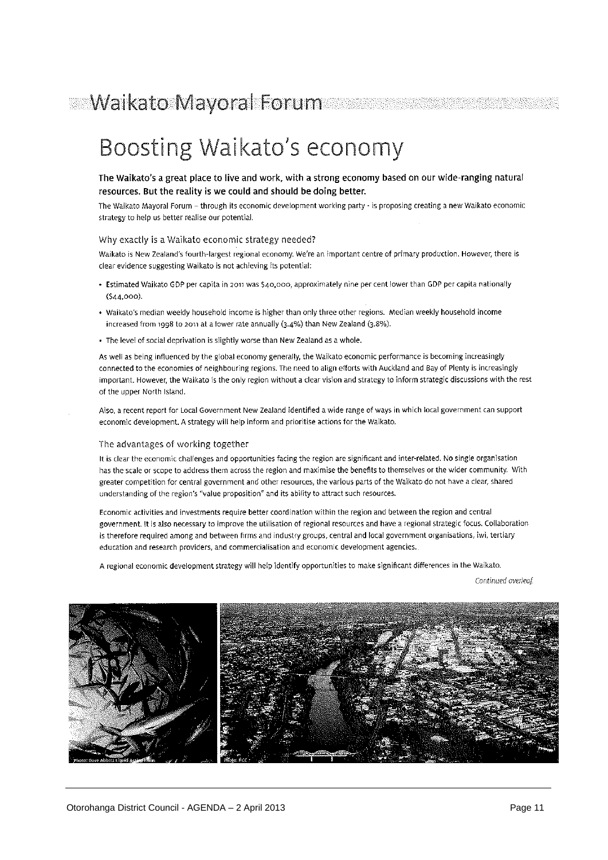# **Waikato Mayoral Forum**

# Boosting Waikato's economy

#### The Waikato's a great place to live and work, with a strong economy based on our wide-ranging natural resources. But the reality is we could and should be doing better.

The Waikato Mayoral Forum - through its economic development working party - is proposing creating a new Waikato economic strategy to help us better realise our potential.

#### Why exactly is a Waikato economic strategy needed?

Waikato is New Zealand's fourth-largest regional economy. We're an important centre of primary production. However, there is clear evidence suggesting Waikato is not achieving its potential:

- · Estimated Waikato GDP per capita in 2011 was \$40,000, approximately nine per cent lower than GDP per capita nationally  $(544,000)$
- · Waikato's median weekly household income is higher than only three other regions. Median weekly household income increased from 1998 to 2011 at a lower rate annually (3.4%) than New Zealand (3.8%).
- . The level of social deprivation is slightly worse than New Zealand as a whole.

As well as being influenced by the global economy generally, the Walkato economic performance is becoming increasingly connected to the economies of neighbouring regions. The need to align efforts with Auckland and Bay of Plenty is increasingly important. However, the Waikato is the only region without a clear vision and strategy to inform strategic discussions with the rest of the upper North Island.

Also, a recent report for Local Government New Zealand identified a wide range of ways in which local government can support economic development. A strategy will help inform and prioritise actions for the Waikato.

#### The advantages of working together

It is clear the economic challenges and opportunities facing the region are significant and inter-related. No single organisation has the scale or scope to address them across the region and maximise the benefits to themselves or the wider community. With greater competition for central government and other resources, the various parts of the Waikato do not have a clear, shared understanding of the region's "value proposition" and its ability to attract such resources.

Economic activities and investments require better coordination within the region and between the region and central government. It is also necessary to improve the utilisation of regional resources and have a regional strategic focus. Collaboration is therefore required among and between firms and industry groups, central and local government organisations, iwi, tertiary education and research providers, and commercialisation and economic development agencies.

A regional economic development strategy will help identify opportunities to make significant differences in the Waikato.

Continued overleaf

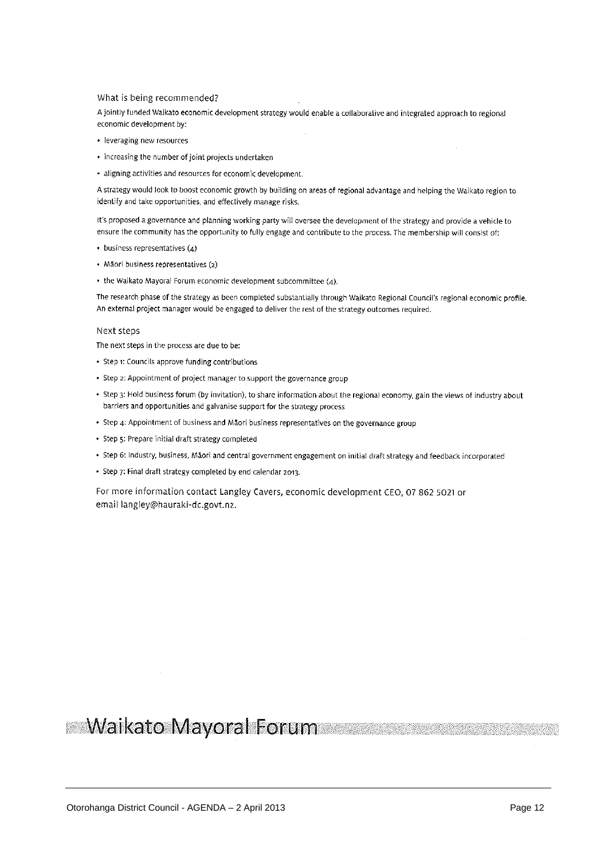#### What is being recommended?

A jointly funded Waikato economic development strategy would enable a collaborative and integrated approach to regional economic development by:

- · leveraging new resources
- · increasing the number of joint projects undertaken
- · aligning activities and resources for economic development.

A strategy would look to boost economic growth by building on areas of regional advantage and helping the Walkato region to identify and take opportunities, and effectively manage risks.

It's proposed a governance and planning working party will oversee the development of the strategy and provide a vehicle to ensure the community has the opportunity to fully engage and contribute to the process. The membership will consist of:

- $\bullet$  business representatives (4)
- · Mãori business representatives (2)
- the Waikato Mayoral Forum economic development subcommittee (4).

The research phase of the strategy as been completed substantially through Waikato Regional Council's regional economic profile. An external project manager would be engaged to deliver the rest of the strategy outcomes required.

#### Next steps

The next steps in the process are due to be:

- Step 1: Councils approve funding contributions
- Step 2: Appointment of project manager to support the governance group
- Step 3: Hold business forum (by invitation), to share information about the regional economy, gain the views of industry about barriers and opportunities and galvanise support for the strategy process
- Step 4: Appointment of business and Māori business representatives on the governance group
- · Step 5: Prepare initial draft strategy completed
- · Step 6: Industry, business, Māori and central government engagement on initial draft strategy and feedback incorporated
- Step 7: Final draft strategy completed by end calendar 2013.

For more information contact Langley Cavers, economic development CEO, 07 862 5021 or email langley@hauraki-dc.govt.nz.

## **Waikato Mayoral Forum**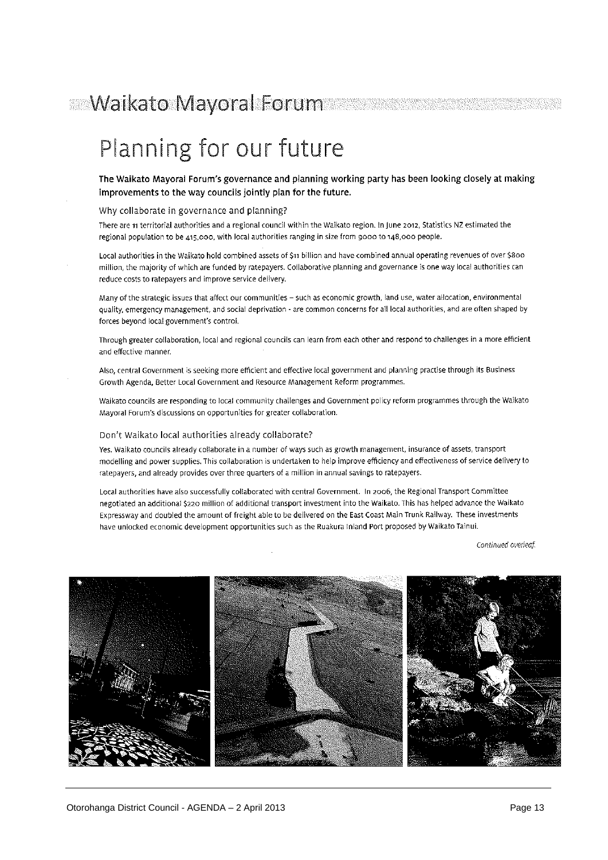# Planning for our future

The Waikato Mayoral Forum's governance and planning working party has been looking closely at making improvements to the way councils jointly plan for the future.

#### Why collaborate in governance and planning?

There are 11 territorial authorities and a regional council within the Walkato region. In June 2012, Statistics NZ estimated the regional population to be 415,000, with local authorities ranging in size from 9000 to 148,000 people.

Local authorities in the Waikato hold combined assets of \$11 billion and have combined annual operating revenues of over \$800 million, the majority of which are funded by ratepayers. Collaborative planning and governance is one way local authorities can reduce costs to ratepayers and improve service delivery.

Many of the strategic issues that affect our communities - such as economic growth, land use, water allocation, environmental quality, emergency management, and social deprivation - are common concerns for all local authorities, and are often shaped by forces beyond local government's control.

Through greater collaboration, local and regional councils can learn from each other and respond to challenges in a more efficient and effective manner.

Also, central Government is seeking more efficient and effective local government and planning practise through its Business Growth Agenda, Better Local Government and Resource Management Reform programmes.

Waikato councils are responding to local community challenges and Government policy reform programmes through the Waikato Mayoral Forum's discussions on opportunities for greater collaboration.

#### Don't Walkato local authorities already collaborate?

Yes. Waikato councils already collaborate in a number of ways such as growth management, insurance of assets, transport modelling and power supplies. This collaboration is undertaken to help improve efficiency and effectiveness of service delivery to ratepayers, and already provides over three quarters of a million in annual savings to ratepayers.

Local authorities have also successfully collaborated with central Government. In 2006, the Regional Transport Committee negotiated an additional \$220 million of additional transport investment into the Waikato. This has helped advance the Waikato Expressway and doubled the amount of freight able to be delivered on the East Coast Main Trunk Railway. These investments have unlocked economic development opportunities such as the Ruakura Inland Port proposed by Waikato Tainui.

Continued overleaf.

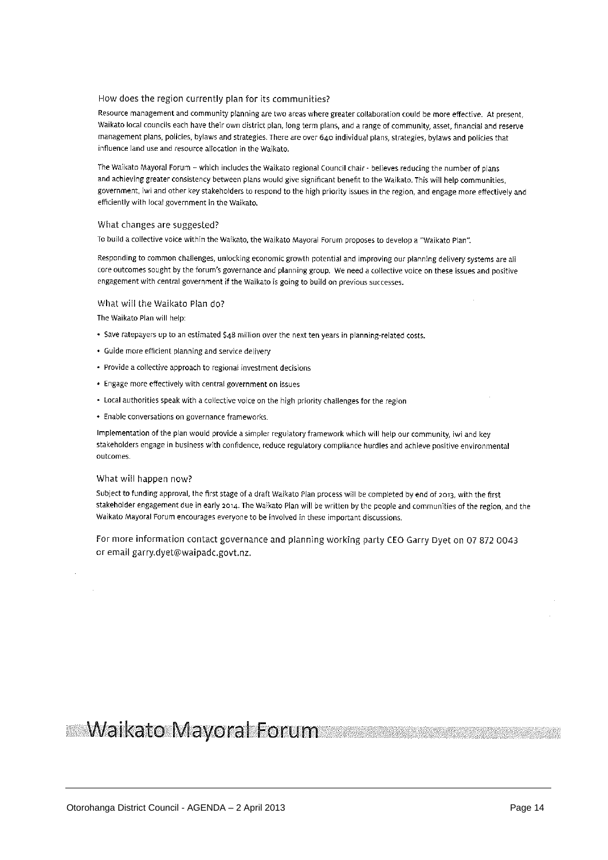#### How does the region currently plan for its communities?

Resource management and community planning are two areas where greater collaboration could be more effective. At present, Waikato local councils each have their own district plan, long term plans, and a range of community, asset, financial and reserve management plans, policies, bylaws and strategies. There are over 640 individual plans, strategies, bylaws and policies that influence land use and resource allocation in the Waikato.

The Waikato Mayoral Forum - which includes the Waikato regional Council chair - believes reducing the number of plans and achieving greater consistency between plans would give significant benefit to the Waikato. This will help communities, government, iwi and other key stakeholders to respond to the high priority issues in the region, and engage more effectively and efficiently with local government in the Waikato.

#### What changes are suggested?

To build a collective voice within the Waikato, the Waikato Mayoral Forum proposes to develop a "Waikato Plan".

Responding to common challenges, unlocking economic growth potential and improving our planning delivery systems are all core outcomes sought by the forum's governance and planning group. We need a collective voice on these issues and positive engagement with central government if the Waikato is going to build on previous successes.

#### What will the Waikato Plan do?

The Waikato Plan will help:

- Save ratepayers up to an estimated \$48 million over the next ten years in planning-related costs.
- · Guide more efficient planning and service delivery
- · Provide a collective approach to regional investment decisions
- Engage more effectively with central government on issues
- Local authorities speak with a collective voice on the high priority challenges for the region
- Enable conversations on governance frameworks.

Implementation of the plan would provide a simpler regulatory framework which will help our community, iwi and key stakeholders engage in business with confidence, reduce regulatory compliance hurdles and achieve positive environmental outcomes

#### What will happen now?

Subject to funding approval, the first stage of a draft Waikato Plan process will be completed by end of 2013, with the first stakeholder engagement due in early 2014. The Waikato Plan will be written by the people and communities of the region, and the Walkato Mayoral Forum encourages everyone to be involved in these important discussions.

For more information contact governance and planning working party CEO Garry Dyet on 07 872 0043 or email garry.dyet@waipadc.govt.nz.

### **Waikato Mayoral Forum**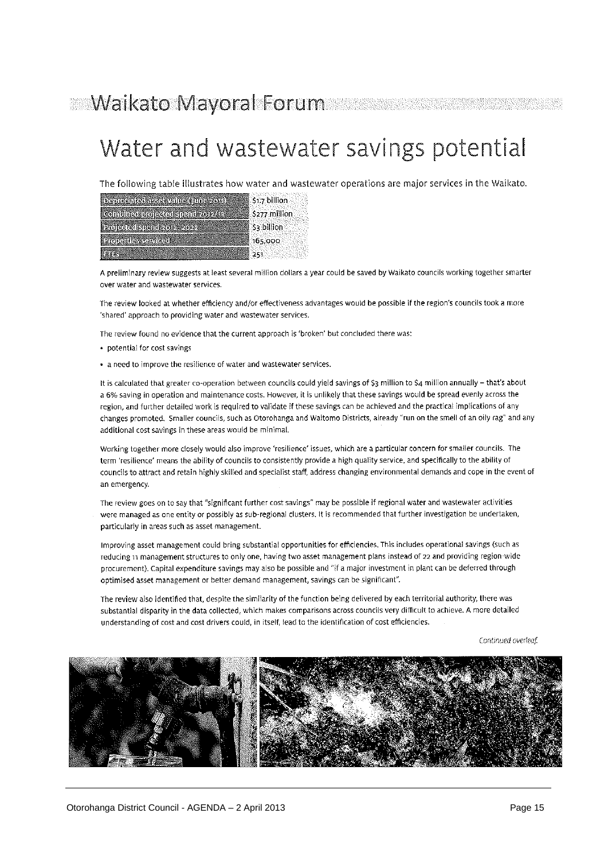# Water and wastewater savings potential

The following table illustrates how water and wastewater operations are major services in the Waikato.

| Depreciated assetvalue (100e 2011)         | \$1.7 billion |
|--------------------------------------------|---------------|
| <b>Rombination activistic in Professor</b> | S277 million  |
| Projected spend zone-zone                  | § \$3 billion |
| <b>ROBUS SENCER</b>                        | 165,000       |
|                                            |               |

A preliminary review suggests at least several million dollars a year could be saved by Waikato councils working together smarter over water and wastewater services.

The review looked at whether efficiency and/or effectiveness advantages would be possible if the region's councils took a more 'shared' approach to providing water and wastewater services.

The review found no evidence that the current approach is 'broken' but concluded there was:

- · potential for cost savings
- a need to improve the resilience of water and wastewater services.

It is calculated that greater co-operation between councils could yield savings of \$3 million to \$4 million annually - that's about a 6% saving in operation and maintenance costs. However, it is unlikely that these savings would be spread evenly across the region, and further detailed work is required to validate if these savings can be achieved and the practical implications of any changes promoted. Smaller councils, such as Otorohanga and Waitomo Districts, already "run on the smell of an oily rag" and any additional cost savings in these areas would be minimal.

Working together more closely would also improve 'resilience' issues, which are a particular concern for smaller councils. The term 'resilience' means the ability of councils to consistently provide a high quality service, and specifically to the ability of councils to attract and retain highly skilled and specialist staff, address changing environmental demands and cope in the event of an emergency.

The review goes on to say that "significant further cost savings" may be possible if regional water and wastewater activities were managed as one entity or possibly as sub-regional clusters. It is recommended that further investigation be undertaken, particularly in areas such as asset management.

Improving asset management could bring substantial opportunities for efficiencies. This includes operational savings (such as reducing 11 management structures to only one, having two asset management plans instead of 22 and providing region-wide procurement). Capital expenditure savings may also be possible and "if a major investment in plant can be deferred through optimised asset management or better demand management, savings can be significant".

The review also identified that, despite the similarity of the function being delivered by each territorial authority, there was substantial disparity in the data collected, which makes comparisons across councils very difficult to achieve. A more detailed understanding of cost and cost drivers could, in itself, lead to the identification of cost efficiencies.

Continued overleaf.

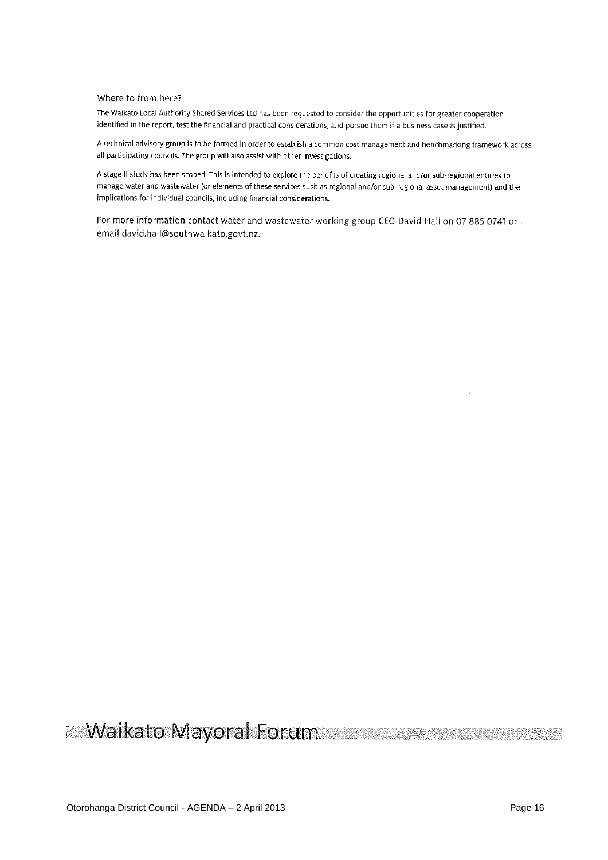#### Where to from here?

The Waikato Local Authority Shared Services Ltd has been requested to consider the opportunities for greater cooperation identified in the report, test the financial and practical considerations, and pursue them if a business case is justified.

A technical advisory group is to be formed in order to establish a common cost management and benchmarking framework across all participating councils. The group will also assist with other investigations.

A stage II study has been scoped. This is intended to explore the benefits of creating regional and/or sub-regional entities to manage water and wastewater (or elements of these services such as regional and/or sub-regional asset management) and the implications for individual councils, including financial considerations.

For more information contact water and wastewater working group CEO David Hall on 07 885 0741 or email david.hall@southwaikato.govt.nz.

#### **Waikato Mayoral Forum** V.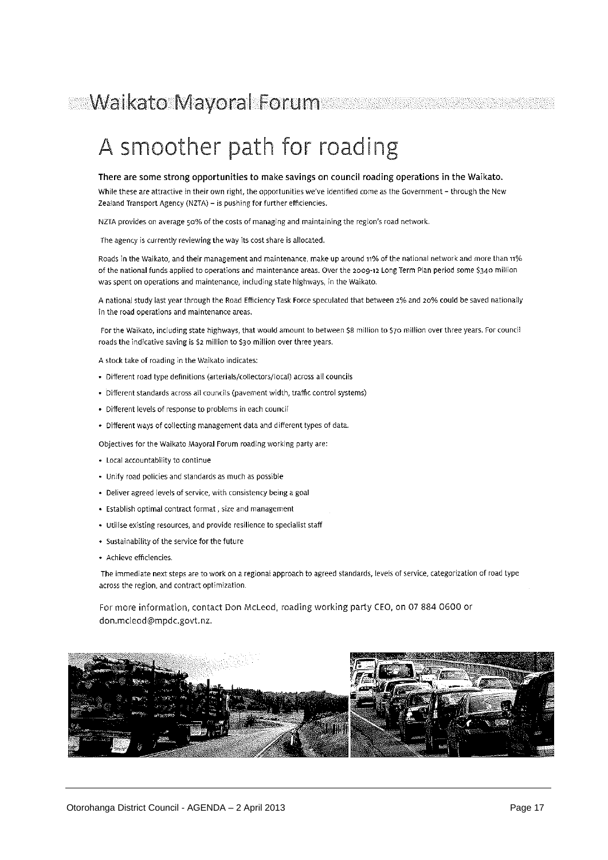# A smoother path for roading

#### There are some strong opportunities to make savings on council roading operations in the Waikato.

While these are attractive in their own right, the opportunities we've identified come as the Government - through the New Zealand Transport Agency (NZTA) - is pushing for further efficiencies.

NZTA provides on average 50% of the costs of managing and maintaining the region's road network.

The agency is currently reviewing the way its cost share is allocated.

Roads in the Waikato, and their management and maintenance, make up around 11% of the national network and more than 11% of the national funds applied to operations and maintenance areas. Over the 2009-12 Long Term Plan period some \$340 million was spent on operations and maintenance, including state highways, in the Waikato.

A national study last year through the Road Efficiency Task Force speculated that between 2% and 20% could be saved nationally in the road operations and maintenance areas.

For the Waikato, including state highways, that would amount to between \$8 million to \$70 million over three years. For council roads the indicative saving is \$2 million to \$30 million over three years.

- A stock take of roading in the Walkato indicates:
- · Different road type definitions (arterials/collectors/local) across all councils
- · Different standards across all councils (pavement width, traffic control systems)
- · Different levels of response to problems in each council
- · Different ways of collecting management data and different types of data.

Objectives for the Waikato Mayoral Forum roading working party are:

- Local accountability to continue
- · Unify road policies and standards as much as possible
- · Deliver agreed levels of service, with consistency being a goal
- · Establish optimal contract format, size and management
- · Utilise existing resources, and provide resilience to specialist staff
- Sustainability of the service for the future
- · Achieve efficiencies.

The immediate next steps are to work on a regional approach to agreed standards, levels of service, categorization of road type across the region, and contract optimization.

For more information, contact Don McLeod, roading working party CEO, on 07 884 0600 or don.mcleod@mpdc.govt.nz.